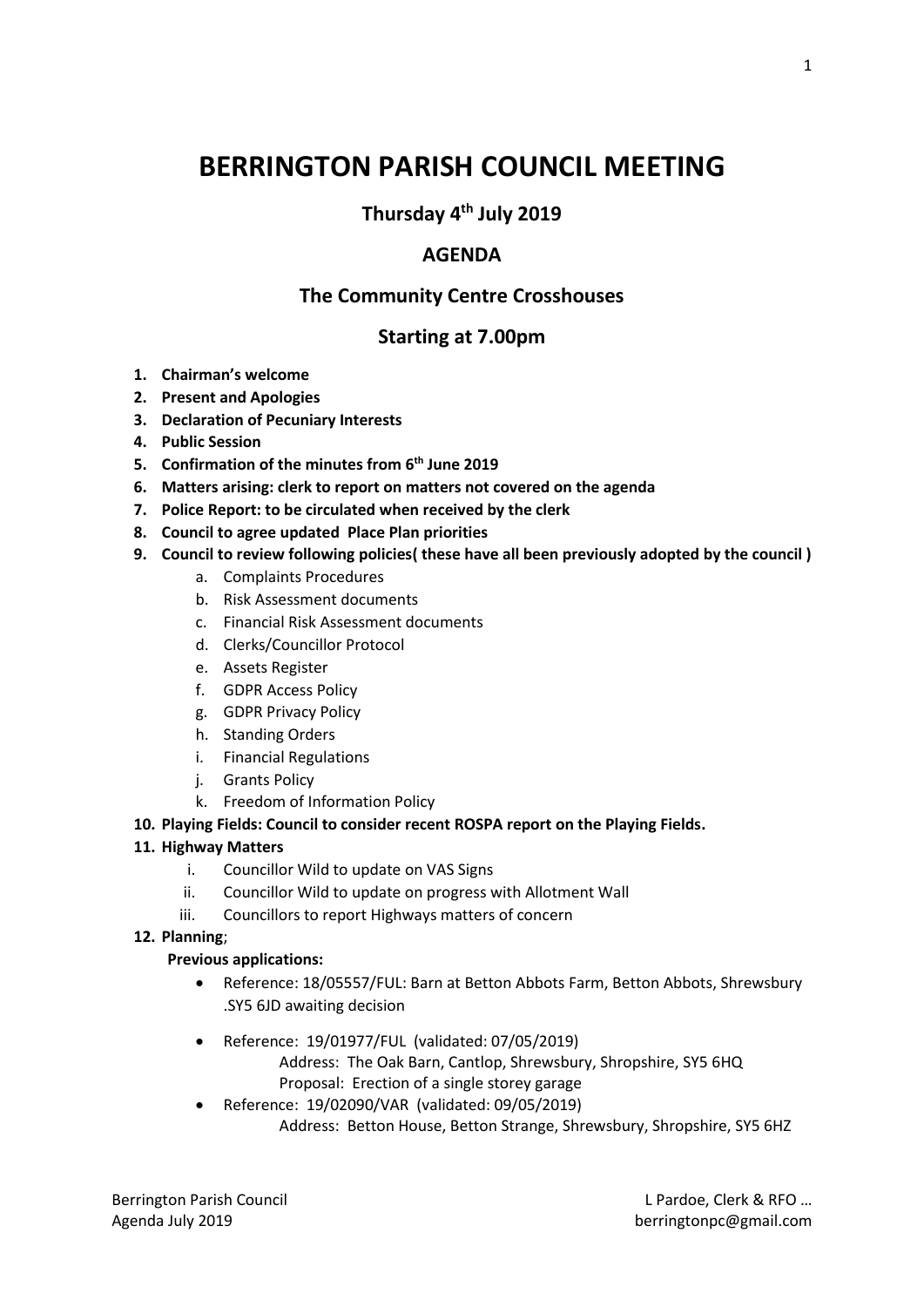# **BERRINGTON PARISH COUNCIL MEETING**

**Thursday 4th July 2019**

# **AGENDA**

# **The Community Centre Crosshouses**

# **Starting at 7.00pm**

- **1. Chairman's welcome**
- **2. Present and Apologies**
- **3. Declaration of Pecuniary Interests**
- **4. Public Session**
- **5. Confirmation of the minutes from 6 th June 2019**
- **6. Matters arising: clerk to report on matters not covered on the agenda**
- **7. Police Report: to be circulated when received by the clerk**
- **8. Council to agree updated Place Plan priorities**
- **9. Council to review following policies( these have all been previously adopted by the council )**
	- a. Complaints Procedures
	- b. Risk Assessment documents
	- c. Financial Risk Assessment documents
	- d. Clerks/Councillor Protocol
	- e. Assets Register
	- f. GDPR Access Policy
	- g. GDPR Privacy Policy
	- h. Standing Orders
	- i. Financial Regulations
	- j. Grants Policy
	- k. Freedom of Information Policy
- **10. Playing Fields: Council to consider recent ROSPA report on the Playing Fields.**

## **11. Highway Matters**

- i. Councillor Wild to update on VAS Signs
- ii. Councillor Wild to update on progress with Allotment Wall
- iii. Councillors to report Highways matters of concern

## **12. Planning**;

## **Previous applications:**

- Reference: 18/05557/FUL: Barn at Betton Abbots Farm, Betton Abbots, Shrewsbury .SY5 6JD awaiting decision
- Reference: 19/01977/FUL (validated: 07/05/2019)
	- Address: The Oak Barn, Cantlop, Shrewsbury, Shropshire, SY5 6HQ Proposal: Erection of a single storey garage
- Reference: 19/02090/VAR (validated: 09/05/2019) Address: Betton House, Betton Strange, Shrewsbury, Shropshire, SY5 6HZ